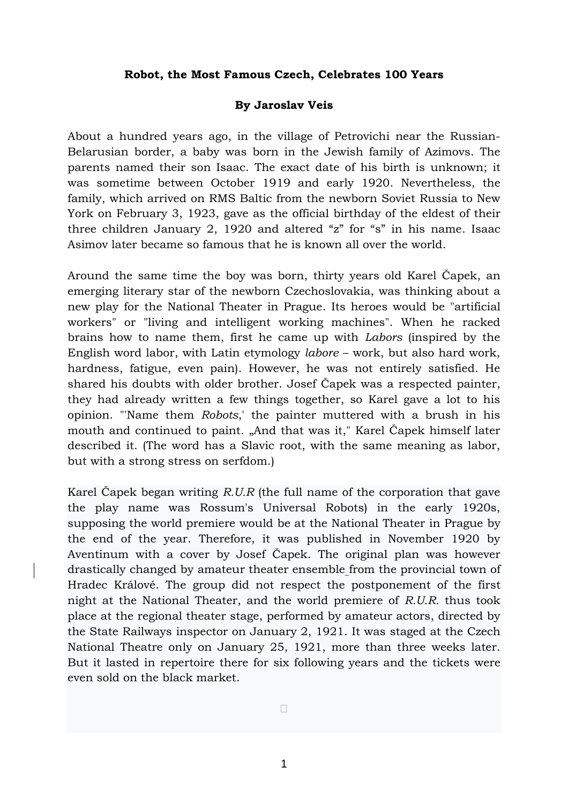## **Robot, the Most Famous Czech, Celebrates 100 Years**

## **By Jaroslav Veis**

About a hundred years ago, in the village of Petrovichi near the Russian-Belarusian border, a baby was born in the Jewish family of Azimovs. The parents named their son Isaac. The exact date of his birth is unknown; it was sometime between October 1919 and early 1920. Nevertheless, the family, which arrived on RMS Baltic from the newborn Soviet Russia to New York on February 3, 1923, gave as the official birthday of the eldest of their three children January 2, 1920 and altered "z" for "s" in his name. Isaac Asimov later became so famous that he is known all over the world.

Around the same time the boy was born, thirty years old Karel Čapek, an emerging literary star of the newborn Czechoslovakia, was thinking about a new play for the National Theater in Prague. Its heroes would be "artificial workers" or "living and intelligent working machines". When he racked brains how to name them, first he came up with *Labors* (inspired by the English word labor, with Latin etymology *labore* – work, but also hard work, hardness, fatigue, even pain). However, he was not entirely satisfied. He shared his doubts with older brother. Josef Čapek was a respected painter, they had already written a few things together, so Karel gave a lot to his opinion. "'Name them *Robots*,' the painter muttered with a brush in his mouth and continued to paint. "And that was it," Karel Čapek himself later described it. (The word has a Slavic root, with the same meaning as labor, but with a strong stress on serfdom.)

Karel Čapek began writing *R.U.R* (the full name of the corporation that gave the play name was Rossum's Universal Robots) in the early 1920s, supposing the world premiere would be at the National Theater in Prague by the end of the year. Therefore, it was published in November 1920 by Aventinum with a cover by Josef Čapek. The original plan was however drastically changed by amateur theater ensemble from the provincial town of Hradec Králové. The group did not respect the postponement of the first night at the National Theater, and the world premiere of *R.U.R.* thus took place at the regional theater stage, performed by amateur actors, directed by the State Railways inspector on January 2, 1921. It was staged at the Czech National Theatre only on January 25, 1921, more than three weeks later. But it lasted in repertoire there for six following years and the tickets were even sold on the black market.

•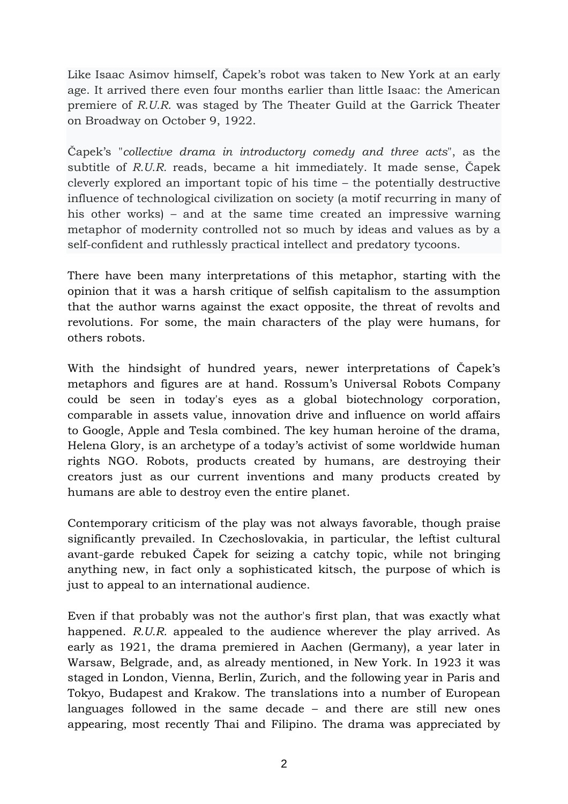Like Isaac Asimov himself, Čapek's robot was taken to New York at an early age. It arrived there even four months earlier than little Isaac: the American premiere of *R.U.R.* was staged by The Theater Guild at the Garrick Theater on Broadway on October 9, 1922.

Čapek's "*collective drama in introductory comedy and three acts*", as the subtitle of *R.U.R.* reads, became a hit immediately. It made sense, Čapek cleverly explored an important topic of his time – the potentially destructive influence of technological civilization on society (a motif recurring in many of his other works) – and at the same time created an impressive warning metaphor of modernity controlled not so much by ideas and values as by a self-confident and ruthlessly practical intellect and predatory tycoons.

There have been many interpretations of this metaphor, starting with the opinion that it was a harsh critique of selfish capitalism to the assumption that the author warns against the exact opposite, the threat of revolts and revolutions. For some, the main characters of the play were humans, for others robots.

With the hindsight of hundred years, newer interpretations of Čapek's metaphors and figures are at hand. Rossum's Universal Robots Company could be seen in today's eyes as a global biotechnology corporation, comparable in assets value, innovation drive and influence on world affairs to Google, Apple and Tesla combined. The key human heroine of the drama, Helena Glory, is an archetype of a today's activist of some worldwide human rights NGO. Robots, products created by humans, are destroying their creators just as our current inventions and many products created by humans are able to destroy even the entire planet.

Contemporary criticism of the play was not always favorable, though praise significantly prevailed. In Czechoslovakia, in particular, the leftist cultural avant-garde rebuked Čapek for seizing a catchy topic, while not bringing anything new, in fact only a sophisticated kitsch, the purpose of which is just to appeal to an international audience.

Even if that probably was not the author's first plan, that was exactly what happened. *R.U.R.* appealed to the audience wherever the play arrived. As early as 1921, the drama premiered in Aachen (Germany), a year later in Warsaw, Belgrade, and, as already mentioned, in New York. In 1923 it was staged in London, Vienna, Berlin, Zurich, and the following year in Paris and Tokyo, Budapest and Krakow. The translations into a number of European languages followed in the same decade – and there are still new ones appearing, most recently Thai and Filipino. The drama was appreciated by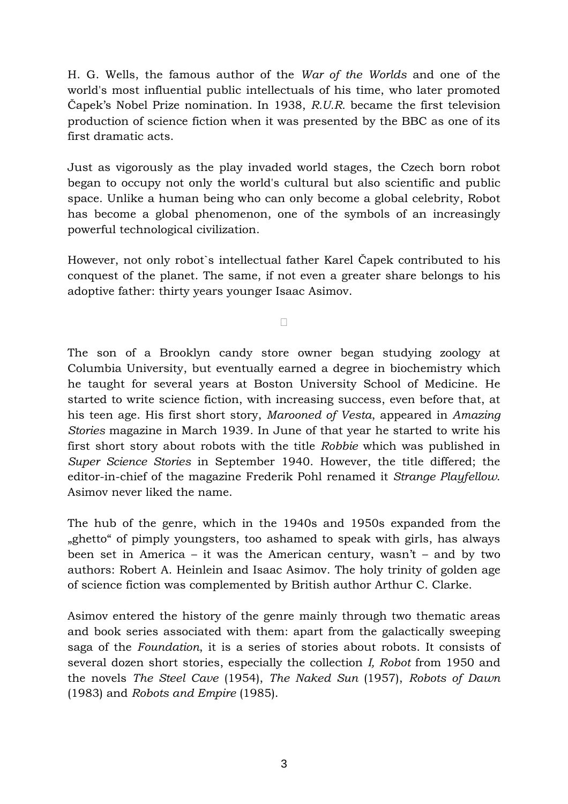H. G. Wells, the famous author of the *War of the Worlds* and one of the world's most influential public intellectuals of his time, who later promoted Čapek's Nobel Prize nomination. In 1938, *R.U.R.* became the first television production of science fiction when it was presented by the BBC as one of its first dramatic acts.

Just as vigorously as the play invaded world stages, the Czech born robot began to occupy not only the world's cultural but also scientific and public space. Unlike a human being who can only become a global celebrity, Robot has become a global phenomenon, one of the symbols of an increasingly powerful technological civilization.

However, not only robot`s intellectual father Karel Čapek contributed to his conquest of the planet. The same, if not even a greater share belongs to his adoptive father: thirty years younger Isaac Asimov.

•

The son of a Brooklyn candy store owner began studying zoology at Columbia University, but eventually earned a degree in biochemistry which he taught for several years at Boston University School of Medicine. He started to write science fiction, with increasing success, even before that, at his teen age. His first short story, *Marooned of Vesta*, appeared in *Amazing Stories* magazine in March 1939. In June of that year he started to write his first short story about robots with the title *Robbie* which was published in *Super Science Stories* in September 1940. However, the title differed; the editor-in-chief of the magazine Frederik Pohl renamed it *Strange Playfellow*. Asimov never liked the name.

The hub of the genre, which in the 1940s and 1950s expanded from the "ghetto" of pimply youngsters, too ashamed to speak with girls, has always been set in America – it was the American century, wasn't – and by two authors: Robert A. Heinlein and Isaac Asimov. The holy trinity of golden age of science fiction was complemented by British author Arthur C. Clarke.

Asimov entered the history of the genre mainly through two thematic areas and book series associated with them: apart from the galactically sweeping saga of the *Foundation*, it is a series of stories about robots. It consists of several dozen short stories, especially the collection *I, Robot* from 1950 and the novels *The Steel Cave* (1954), *The Naked Sun* (1957), *Robots of Dawn* (1983) and *Robots and Empire* (1985).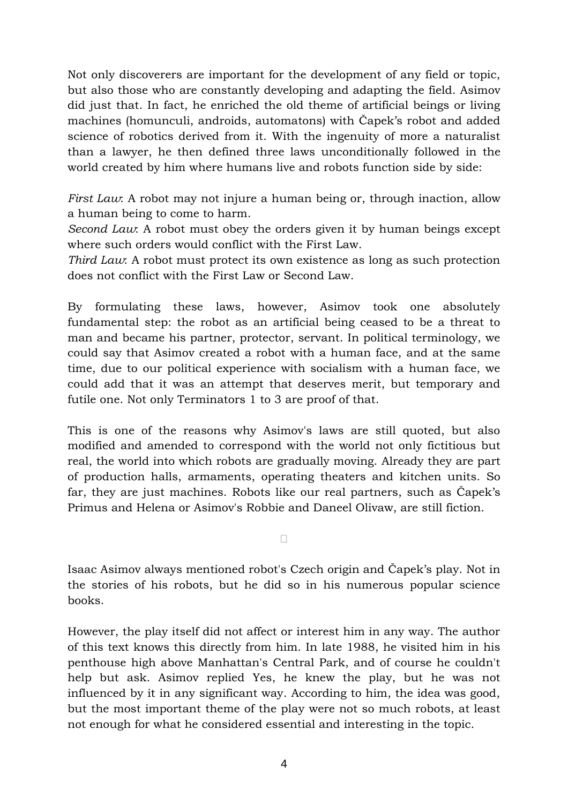Not only discoverers are important for the development of any field or topic, but also those who are constantly developing and adapting the field. Asimov did just that. In fact, he enriched the old theme of artificial beings or living machines (homunculi, androids, automatons) with Čapek's robot and added science of robotics derived from it. With the ingenuity of more a naturalist than a lawyer, he then defined three laws unconditionally followed in the world created by him where humans live and robots function side by side:

*First Law*: A robot may not injure a human being or, through inaction, allow a human being to come to harm.

*Second Law*: A robot must obey the orders given it by human beings except where such orders would conflict with the First Law.

*Third Law*: A robot must protect its own existence as long as such protection does not conflict with the First Law or Second Law.

By formulating these laws, however, Asimov took one absolutely fundamental step: the robot as an artificial being ceased to be a threat to man and became his partner, protector, servant. In political terminology, we could say that Asimov created a robot with a human face, and at the same time, due to our political experience with socialism with a human face, we could add that it was an attempt that deserves merit, but temporary and futile one. Not only Terminators 1 to 3 are proof of that.

This is one of the reasons why Asimov's laws are still quoted, but also modified and amended to correspond with the world not only fictitious but real, the world into which robots are gradually moving. Already they are part of production halls, armaments, operating theaters and kitchen units. So far, they are just machines. Robots like our real partners, such as Čapek's Primus and Helena or Asimov's Robbie and Daneel Olivaw, are still fiction.

Isaac Asimov always mentioned robot's Czech origin and Čapek's play. Not in the stories of his robots, but he did so in his numerous popular science books.

•

However, the play itself did not affect or interest him in any way. The author of this text knows this directly from him. In late 1988, he visited him in his penthouse high above Manhattan's Central Park, and of course he couldn't help but ask. Asimov replied Yes, he knew the play, but he was not influenced by it in any significant way. According to him, the idea was good, but the most important theme of the play were not so much robots, at least not enough for what he considered essential and interesting in the topic.